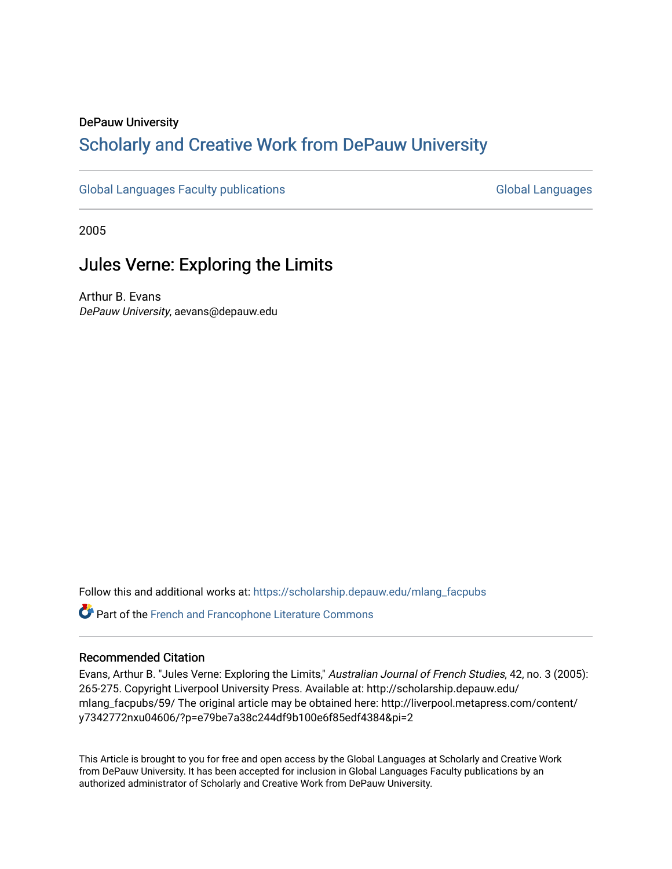### DePauw University

# Scholarly and [Creative Work from DePauw Univ](https://scholarship.depauw.edu/)ersity

[Global Languages Faculty publications](https://scholarship.depauw.edu/mlang_facpubs) [Global Languages](https://scholarship.depauw.edu/modernlanguages) Global Languages

2005

# Jules Verne: Exploring the Limits

Arthur B. Evans DePauw University, aevans@depauw.edu

Follow this and additional works at: [https://scholarship.depauw.edu/mlang\\_facpubs](https://scholarship.depauw.edu/mlang_facpubs?utm_source=scholarship.depauw.edu%2Fmlang_facpubs%2F59&utm_medium=PDF&utm_campaign=PDFCoverPages)

Part of the [French and Francophone Literature Commons](https://network.bepress.com/hgg/discipline/465?utm_source=scholarship.depauw.edu%2Fmlang_facpubs%2F59&utm_medium=PDF&utm_campaign=PDFCoverPages) 

### Recommended Citation

Evans, Arthur B. "Jules Verne: Exploring the Limits," Australian Journal of French Studies, 42, no. 3 (2005): 265-275. Copyright Liverpool University Press. Available at: http://scholarship.depauw.edu/ mlang\_facpubs/59/ The original article may be obtained here: http://liverpool.metapress.com/content/ y7342772nxu04606/?p=e79be7a38c244df9b100e6f85edf4384&pi=2

This Article is brought to you for free and open access by the Global Languages at Scholarly and Creative Work from DePauw University. It has been accepted for inclusion in Global Languages Faculty publications by an authorized administrator of Scholarly and Creative Work from DePauw University.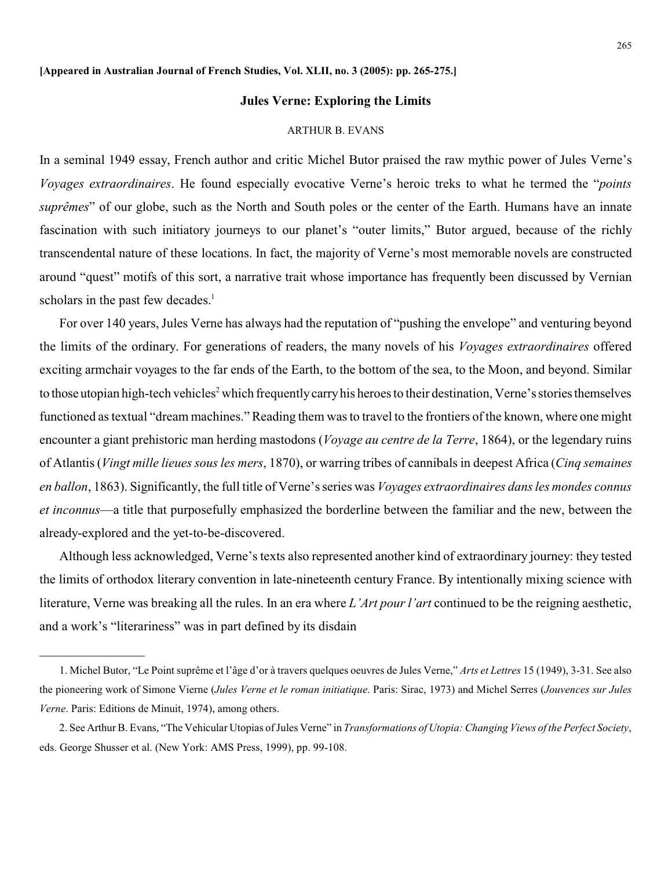#### **Jules Verne: Exploring the Limits**

#### ARTHUR B. EVANS

In a seminal 1949 essay, French author and critic Michel Butor praised the raw mythic power of Jules Verne's *Voyages extraordinaires*. He found especially evocative Verne's heroic treks to what he termed the "*points suprêmes*" of our globe, such as the North and South poles or the center of the Earth. Humans have an innate fascination with such initiatory journeys to our planet's "outer limits," Butor argued, because of the richly transcendental nature of these locations. In fact, the majority of Verne's most memorable novels are constructed around "quest" motifs of this sort, a narrative trait whose importance has frequently been discussed by Vernian scholars in the past few decades.<sup>1</sup>

For over 140 years, Jules Verne has always had the reputation of "pushing the envelope" and venturing beyond the limits of the ordinary. For generations of readers, the many novels of his *Voyages extraordinaires* offered exciting armchair voyages to the far ends of the Earth, to the bottom of the sea, to the Moon, and beyond. Similar to those utopian high-tech vehicles<sup>2</sup> which frequently carry his heroes to their destination, Verne's stories themselves functioned as textual "dream machines." Reading them was to travel to the frontiers of the known, where one might encounter a giant prehistoric man herding mastodons (*Voyage au centre de la Terre*, 1864), or the legendary ruins of Atlantis (*Vingt mille lieues sous les mers*, 1870), or warring tribes of cannibals in deepest Africa (*Cinq semaines en ballon*, 1863). Significantly, the full title of Verne's series was *Voyages extraordinaires dans les mondes connus et inconnus*—a title that purposefully emphasized the borderline between the familiar and the new, between the already-explored and the yet-to-be-discovered.

Although less acknowledged, Verne's texts also represented another kind of extraordinary journey: they tested the limits of orthodox literary convention in late-nineteenth century France. By intentionally mixing science with literature, Verne was breaking all the rules. In an era where *L'Art pour l'art* continued to be the reigning aesthetic, and a work's "literariness" was in part defined by its disdain

<sup>1.</sup> Michel Butor, "Le Point suprême et l'âge d'or à travers quelques oeuvres de Jules Verne," *Arts et Lettres* 15 (1949), 3-31. See also the pioneering work of Simone Vierne (*Jules Verne et le roman initiatique*. Paris: Sirac, 1973) and Michel Serres (*Jouvences sur Jules Verne*. Paris: Editions de Minuit, 1974), among others.

<sup>2.</sup> See Arthur B. Evans, "The Vehicular Utopias ofJules Verne" in *Transformations of Utopia: Changing Views of the Perfect Society*, eds. George Shusser et al. (New York: AMS Press, 1999), pp. 99-108.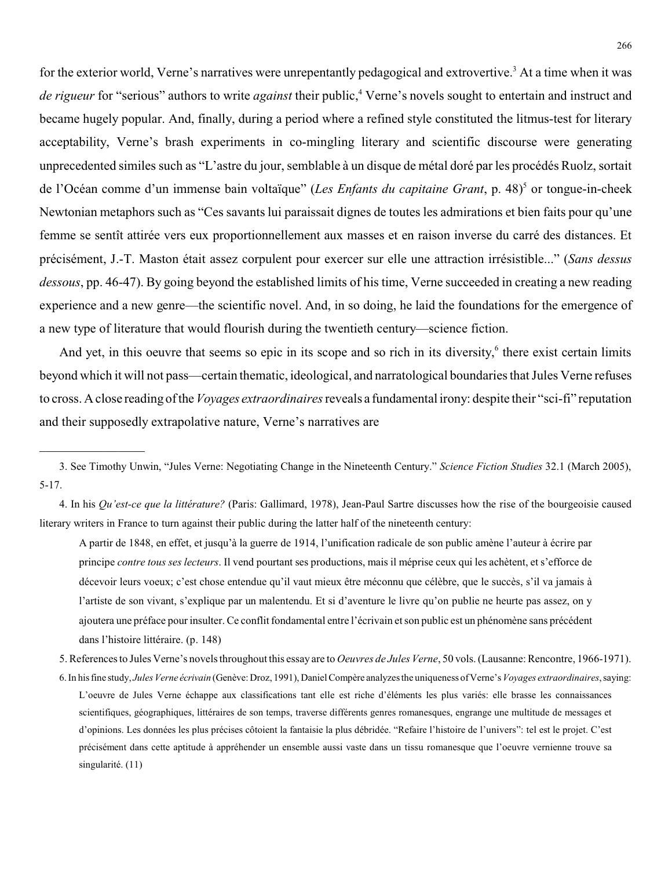for the exterior world, Verne's narratives were unrepentantly pedagogical and extrovertive.<sup>3</sup> At a time when it was *de rigueur* for "serious" authors to write *against* their public,<sup>4</sup> Verne's novels sought to entertain and instruct and became hugely popular. And, finally, during a period where a refined style constituted the litmus-test for literary acceptability, Verne's brash experiments in co-mingling literary and scientific discourse were generating unprecedented similes such as "L'astre du jour, semblable à un disque de métal doré par les procédés Ruolz, sortait de l'Océan comme d'un immense bain voltaïque" (Les Enfants du capitaine Grant, p. 48)<sup>5</sup> or tongue-in-cheek Newtonian metaphors such as "Ces savants lui paraissait dignes de toutes les admirations et bien faits pour qu'une femme se sentît attirée vers eux proportionnellement aux masses et en raison inverse du carré des distances. Et précisément, J.-T. Maston était assez corpulent pour exercer sur elle une attraction irrésistible..." (*Sans dessus dessous*, pp. 46-47). By going beyond the established limits of his time, Verne succeeded in creating a new reading experience and a new genre—the scientific novel. And, in so doing, he laid the foundations for the emergence of a new type of literature that would flourish during the twentieth century—science fiction.

And yet, in this oeuvre that seems so epic in its scope and so rich in its diversity,<sup>6</sup> there exist certain limits beyond which it will not pass—certain thematic, ideological, and narratological boundaries that Jules Verne refuses to cross. Aclose reading of the*Voyages extraordinaires*reveals a fundamental irony: despite their "sci-fi" reputation and their supposedly extrapolative nature, Verne's narratives are

\_\_\_\_\_\_\_\_\_\_\_\_\_\_\_\_

4. In his *Qu'est-ce que la littérature?* (Paris: Gallimard, 1978), Jean-Paul Sartre discusses how the rise of the bourgeoisie caused literary writers in France to turn against their public during the latter half of the nineteenth century:

A partir de 1848, en effet, et jusqu'à la guerre de 1914, l'unification radicale de son public amène l'auteur à écrire par principe *contre tous ses lecteurs*. Il vend pourtant ses productions, mais il méprise ceux qui les achètent, et s'efforce de décevoir leurs voeux; c'est chose entendue qu'il vaut mieux être méconnu que célèbre, que le succès, s'il va jamais à l'artiste de son vivant, s'explique par un malentendu. Et si d'aventure le livre qu'on publie ne heurte pas assez, on y ajoutera une préface pour insulter. Ce conflit fondamental entre l'écrivain et son public est un phénomène sans précédent dans l'histoire littéraire. (p. 148)

<sup>3.</sup> See Timothy Unwin, "Jules Verne: Negotiating Change in the Nineteenth Century." *Science Fiction Studies* 32.1 (March 2005), 5-17.

<sup>5.</sup> References to Jules Verne's novels throughout this essay are to *Oeuvres de Jules Verne*, 50 vols. (Lausanne: Rencontre, 1966-1971).

<sup>6.</sup> In his fine study, *Jules Verne écrivain* (Genève: Droz, 1991), Daniel Compère analyzes the uniqueness ofVerne's *Voyages extraordinaires*, saying: L'oeuvre de Jules Verne échappe aux classifications tant elle est riche d'éléments les plus variés: elle brasse les connaissances scientifiques, géographiques, littéraires de son temps, traverse différents genres romanesques, engrange une multitude de messages et d'opinions. Les données les plus précises côtoient la fantaisie la plus débridée. "Refaire l'histoire de l'univers": tel est le projet. C'est précisément dans cette aptitude à appréhender un ensemble aussi vaste dans un tissu romanesque que l'oeuvre vernienne trouve sa singularité. (11)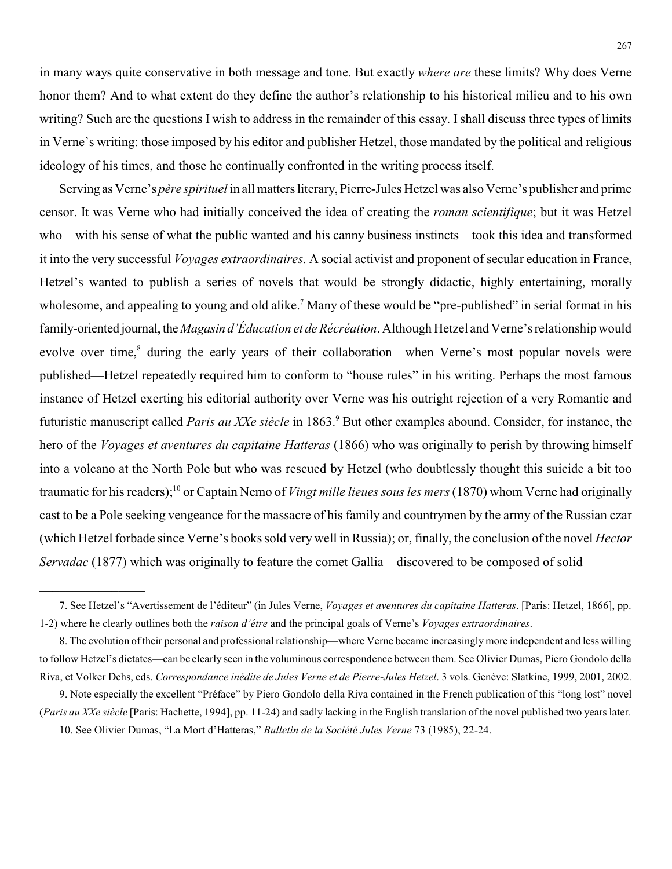in many ways quite conservative in both message and tone. But exactly *where are* these limits? Why does Verne honor them? And to what extent do they define the author's relationship to his historical milieu and to his own writing? Such are the questions I wish to address in the remainder of this essay. I shall discuss three types of limits in Verne's writing: those imposed by his editor and publisher Hetzel, those mandated by the political and religious ideology of his times, and those he continually confronted in the writing process itself.

Serving as Verne's *père spirituel* in all matters literary, Pierre-Jules Hetzel was also Verne's publisher and prime censor. It was Verne who had initially conceived the idea of creating the *roman scientifique*; but it was Hetzel who—with his sense of what the public wanted and his canny business instincts—took this idea and transformed it into the very successful *Voyages extraordinaires*. A social activist and proponent of secular education in France, Hetzel's wanted to publish a series of novels that would be strongly didactic, highly entertaining, morally wholesome, and appealing to young and old alike.<sup>7</sup> Many of these would be "pre-published" in serial format in his family-oriented journal, the*Magasin d'Éducation et de Récréation*. Although Hetzel and Verne's relationship would evolve over time,<sup>8</sup> during the early years of their collaboration—when Verne's most popular novels were published—Hetzel repeatedly required him to conform to "house rules" in his writing. Perhaps the most famous instance of Hetzel exerting his editorial authority over Verne was his outright rejection of a very Romantic and futuristic manuscript called *Paris au XXe siècle* in 1863.<sup>9</sup> But other examples abound. Consider, for instance, the hero of the *Voyages et aventures du capitaine Hatteras* (1866) who was originally to perish by throwing himself into a volcano at the North Pole but who was rescued by Hetzel (who doubtlessly thought this suicide a bit too traumatic for his readers);<sup>10</sup> or Captain Nemo of *Vingt mille lieues sous les mers* (1870) whom Verne had originally cast to be a Pole seeking vengeance for the massacre of his family and countrymen by the army of the Russian czar (which Hetzel forbade since Verne's books sold very well in Russia); or, finally, the conclusion of the novel *Hector Servadac* (1877) which was originally to feature the comet Gallia—discovered to be composed of solid

<sup>7.</sup> See Hetzel's "Avertissement de l'éditeur" (in Jules Verne, *Voyages et aventures du capitaine Hatteras*. [Paris: Hetzel, 1866], pp. 1-2) where he clearly outlines both the *raison d'être* and the principal goals of Verne's *Voyages extraordinaires*.

<sup>8.</sup> The evolution oftheir personal and professional relationship—where Verne became increasingly more independent and less willing to follow Hetzel's dictates—can be clearly seen in the voluminous correspondence between them. See Olivier Dumas, Piero Gondolo della Riva, et Volker Dehs, eds. *Correspondance inédite de Jules Verne et de Pierre-Jules Hetzel*. 3 vols. Genève: Slatkine, 1999, 2001, 2002.

<sup>9.</sup> Note especially the excellent "Préface" by Piero Gondolo della Riva contained in the French publication of this "long lost" novel (*Paris au XXe siècle* [Paris: Hachette, 1994], pp. 11-24) and sadly lacking in the English translation of the novel published two years later. 10. See Olivier Dumas, "La Mort d'Hatteras," *Bulletin de la Société Jules Verne* 73 (1985), 22-24.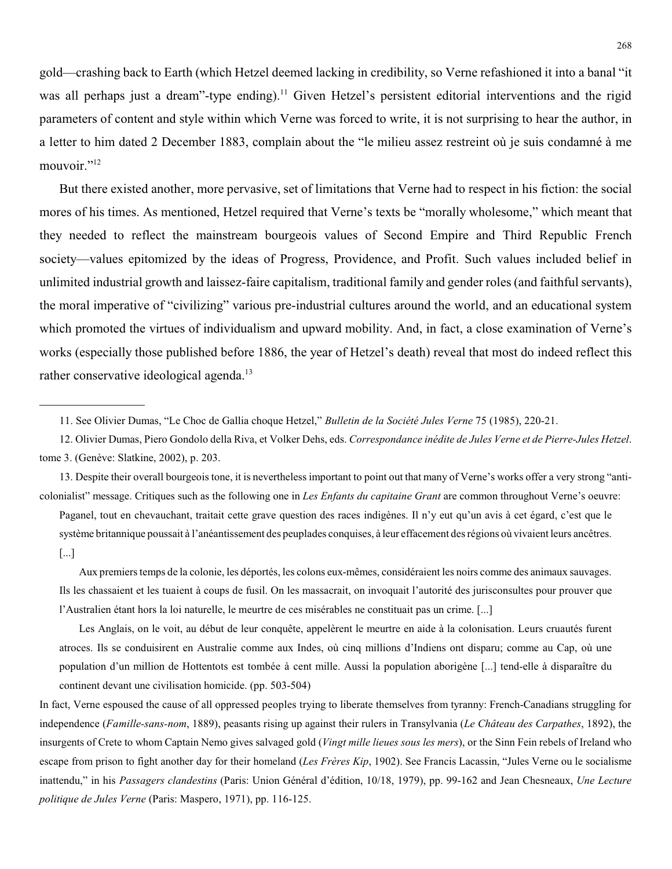gold—crashing back to Earth (which Hetzel deemed lacking in credibility, so Verne refashioned it into a banal "it was all perhaps just a dream"-type ending).<sup>11</sup> Given Hetzel's persistent editorial interventions and the rigid parameters of content and style within which Verne was forced to write, it is not surprising to hear the author, in a letter to him dated 2 December 1883, complain about the "le milieu assez restreint où je suis condamné à me mouvoir."<sup>12</sup>

But there existed another, more pervasive, set of limitations that Verne had to respect in his fiction: the social mores of his times. As mentioned, Hetzel required that Verne's texts be "morally wholesome," which meant that they needed to reflect the mainstream bourgeois values of Second Empire and Third Republic French society—values epitomized by the ideas of Progress, Providence, and Profit. Such values included belief in unlimited industrial growth and laissez-faire capitalism, traditional family and gender roles (and faithful servants), the moral imperative of "civilizing" various pre-industrial cultures around the world, and an educational system which promoted the virtues of individualism and upward mobility. And, in fact, a close examination of Verne's works (especially those published before 1886, the year of Hetzel's death) reveal that most do indeed reflect this rather conservative ideological agenda.<sup>13</sup>

13. Despite their overall bourgeois tone, it is nevertheless important to point out that many of Verne's works offer a very strong "anticolonialist" message. Critiques such as the following one in *Les Enfants du capitaine Grant* are common throughout Verne's oeuvre:

Paganel, tout en chevauchant, traitait cette grave question des races indigènes. Il n'y eut qu'un avis à cet égard, c'est que le système britannique poussait à l'anéantissement des peuplades conquises, à leur effacement des régions où vivaient leurs ancêtres. [...]

Aux premiers temps de la colonie, les déportés, les colons eux-mêmes, considéraient les noirs comme des animaux sauvages. Ils les chassaient et les tuaient à coups de fusil. On les massacrait, on invoquait l'autorité des jurisconsultes pour prouver que l'Australien étant hors la loi naturelle, le meurtre de ces misérables ne constituait pas un crime. [...]

Les Anglais, on le voit, au début de leur conquête, appelèrent le meurtre en aide à la colonisation. Leurs cruautés furent atroces. Ils se conduisirent en Australie comme aux Indes, où cinq millions d'Indiens ont disparu; comme au Cap, où une population d'un million de Hottentots est tombée à cent mille. Aussi la population aborigène [...] tend-elle à disparaître du continent devant une civilisation homicide. (pp. 503-504)

In fact, Verne espoused the cause of all oppressed peoples trying to liberate themselves from tyranny: French-Canadians struggling for independence (*Famille-sans-nom*, 1889), peasants rising up against their rulers in Transylvania (*Le Château des Carpathes*, 1892), the insurgents of Crete to whom Captain Nemo gives salvaged gold (*Vingt mille lieues sous les mers*), or the Sinn Fein rebels of Ireland who escape from prison to fight another day for their homeland (*Les Frères Kip*, 1902). See Francis Lacassin, "Jules Verne ou le socialisme inattendu," in his *Passagers clandestins* (Paris: Union Général d'édition, 10/18, 1979), pp. 99-162 and Jean Chesneaux, *Une Lecture politique de Jules Verne* (Paris: Maspero, 1971), pp. 116-125.

<sup>11.</sup> See Olivier Dumas, "Le Choc de Gallia choque Hetzel," *Bulletin de la Société Jules Verne* 75 (1985), 220-21.

<sup>12.</sup> Olivier Dumas, Piero Gondolo della Riva, et Volker Dehs, eds. *Correspondance inédite de Jules Verne et de Pierre-Jules Hetzel*. tome 3. (Genève: Slatkine, 2002), p. 203.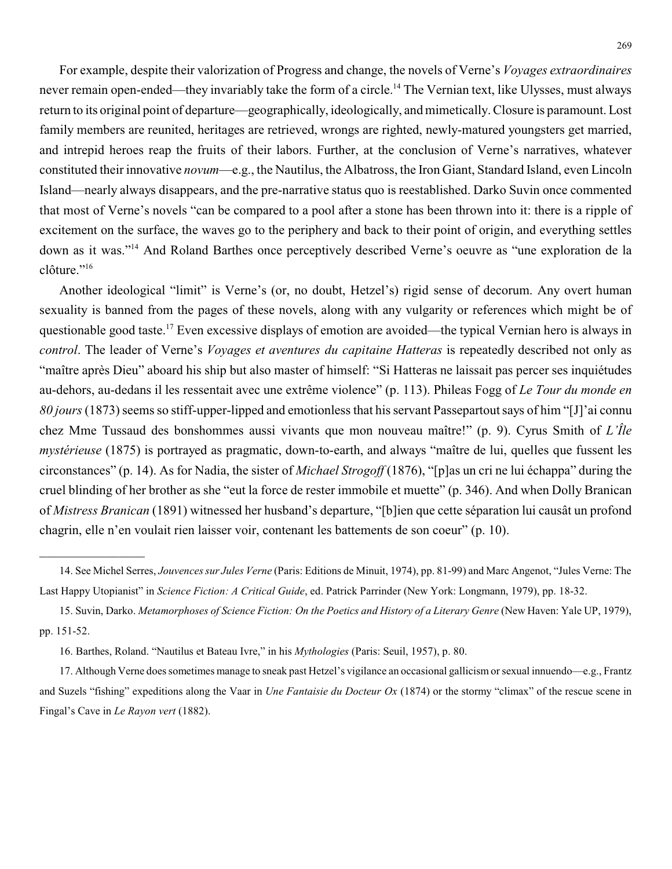For example, despite their valorization of Progress and change, the novels of Verne's *Voyages extraordinaires* never remain open-ended—they invariably take the form of a circle.<sup>14</sup> The Vernian text, like Ulysses, must always return to its original point of departure—geographically, ideologically, and mimetically.Closure is paramount. Lost family members are reunited, heritages are retrieved, wrongs are righted, newly-matured youngsters get married, and intrepid heroes reap the fruits of their labors. Further, at the conclusion of Verne's narratives, whatever constituted their innovative *novum*—e.g., the Nautilus, the Albatross, the Iron Giant, Standard Island, even Lincoln Island—nearly always disappears, and the pre-narrative status quo is reestablished. Darko Suvin once commented that most of Verne's novels "can be compared to a pool after a stone has been thrown into it: there is a ripple of excitement on the surface, the waves go to the periphery and back to their point of origin, and everything settles down as it was."<sup>14</sup> And Roland Barthes once perceptively described Verne's oeuvre as "une exploration de la clôture."<sup>16</sup>

Another ideological "limit" is Verne's (or, no doubt, Hetzel's) rigid sense of decorum. Any overt human sexuality is banned from the pages of these novels, along with any vulgarity or references which might be of questionable good taste.<sup>17</sup> Even excessive displays of emotion are avoided—the typical Vernian hero is always in *control*. The leader of Verne's *Voyages et aventures du capitaine Hatteras* is repeatedly described not only as "maître après Dieu" aboard his ship but also master of himself: "Si Hatteras ne laissait pas percer ses inquiétudes au-dehors, au-dedans il les ressentait avec une extrême violence" (p. 113). Phileas Fogg of *Le Tour du monde en 80 jours* (1873) seems so stiff-upper-lipped and emotionless that his servant Passepartout says of him "[J]'ai connu chez Mme Tussaud des bonshommes aussi vivants que mon nouveau maître!" (p. 9). Cyrus Smith of *L'Île mystérieuse* (1875) is portrayed as pragmatic, down-to-earth, and always "maître de lui, quelles que fussent les circonstances" (p. 14). As for Nadia, the sister of *Michael Strogoff* (1876), "[p]as un cri ne lui échappa" during the cruel blinding of her brother as she "eut la force de rester immobile et muette" (p. 346). And when Dolly Branican of *Mistress Branican* (1891) witnessed her husband's departure, "[b]ien que cette séparation lui causât un profond chagrin, elle n'en voulait rien laisser voir, contenant les battements de son coeur" (p. 10).

<sup>14.</sup> See Michel Serres, *Jouvences sur Jules Verne* (Paris: Editions de Minuit, 1974), pp. 81-99) and Marc Angenot, "Jules Verne: The Last Happy Utopianist" in *Science Fiction: A Critical Guide*, ed. Patrick Parrinder (New York: Longmann, 1979), pp. 18-32.

<sup>15.</sup> Suvin, Darko. *Metamorphoses of Science Fiction: On the Poetics and History of a Literary Genre* (New Haven: Yale UP, 1979), pp. 151-52.

<sup>16.</sup> Barthes, Roland. "Nautilus et Bateau Ivre," in his *Mythologies* (Paris: Seuil, 1957), p. 80.

<sup>17.</sup> Although Verne does sometimes manage to sneak past Hetzel's vigilance an occasional gallicism or sexual innuendo—e.g., Frantz and Suzels "fishing" expeditions along the Vaar in *Une Fantaisie du Docteur Ox* (1874) or the stormy "climax" of the rescue scene in Fingal's Cave in *Le Rayon vert* (1882).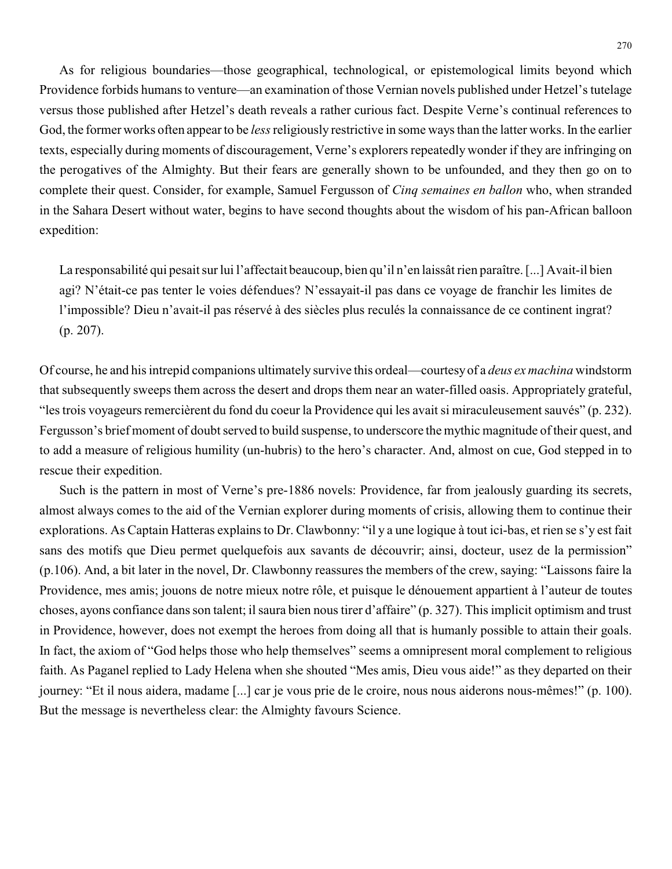As for religious boundaries—those geographical, technological, or epistemological limits beyond which Providence forbids humans to venture—an examination of those Vernian novels published under Hetzel's tutelage versus those published after Hetzel's death reveals a rather curious fact. Despite Verne's continual references to God, the former works often appear to be *less*religiously restrictive in some ways than the latter works. In the earlier texts, especially during moments of discouragement, Verne's explorers repeatedly wonder if they are infringing on the perogatives of the Almighty. But their fears are generally shown to be unfounded, and they then go on to complete their quest. Consider, for example, Samuel Fergusson of *Cinq semaines en ballon* who, when stranded in the Sahara Desert without water, begins to have second thoughts about the wisdom of his pan-African balloon expedition:

La responsabilité qui pesait sur lui l'affectait beaucoup, bien qu'il n'en laissât rien paraître. [...] Avait-il bien agi? N'était-ce pas tenter le voies défendues? N'essayait-il pas dans ce voyage de franchir les limites de l'impossible? Dieu n'avait-il pas réservé à des siècles plus reculés la connaissance de ce continent ingrat? (p. 207).

Of course, he and his intrepid companions ultimately survive this ordeal—courtesyof a *deus ex machina* windstorm that subsequently sweeps them across the desert and drops them near an water-filled oasis. Appropriately grateful, "les trois voyageurs remercièrent du fond du coeur la Providence qui les avait si miraculeusement sauvés" (p. 232). Fergusson's brief moment of doubt served to build suspense, to underscore the mythic magnitude of their quest, and to add a measure of religious humility (un-hubris) to the hero's character. And, almost on cue, God stepped in to rescue their expedition.

Such is the pattern in most of Verne's pre-1886 novels: Providence, far from jealously guarding its secrets, almost always comes to the aid of the Vernian explorer during moments of crisis, allowing them to continue their explorations. As Captain Hatteras explains to Dr. Clawbonny: "il y a une logique à tout ici-bas, et rien se s'y est fait sans des motifs que Dieu permet quelquefois aux savants de découvrir; ainsi, docteur, usez de la permission" (p.106). And, a bit later in the novel, Dr. Clawbonny reassures the members of the crew, saying: "Laissons faire la Providence, mes amis; jouons de notre mieux notre rôle, et puisque le dénouement appartient à l'auteur de toutes choses, ayons confiance dans son talent; il saura bien nous tirer d'affaire" (p. 327). This implicit optimism and trust in Providence, however, does not exempt the heroes from doing all that is humanly possible to attain their goals. In fact, the axiom of "God helps those who help themselves" seems a omnipresent moral complement to religious faith. As Paganel replied to Lady Helena when she shouted "Mes amis, Dieu vous aide!" as they departed on their journey: "Et il nous aidera, madame [...] car je vous prie de le croire, nous nous aiderons nous-mêmes!" (p. 100). But the message is nevertheless clear: the Almighty favours Science.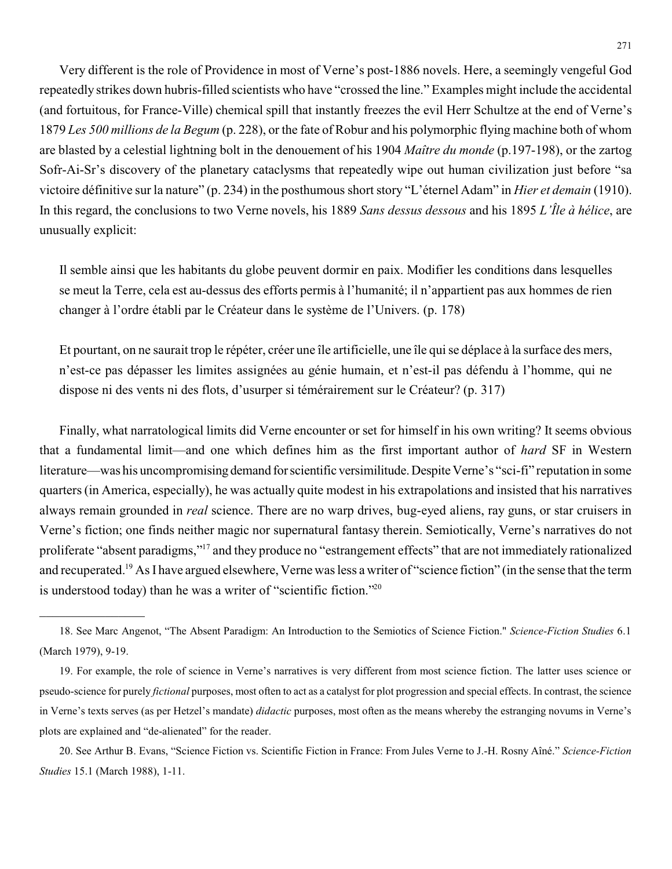Very different is the role of Providence in most of Verne's post-1886 novels. Here, a seemingly vengeful God repeatedly strikes down hubris-filled scientists who have "crossed the line." Examples might include the accidental (and fortuitous, for France-Ville) chemical spill that instantly freezes the evil Herr Schultze at the end of Verne's 1879 *Les 500 millions de la Begum* (p. 228), or the fate of Robur and his polymorphic flying machine both of whom are blasted by a celestial lightning bolt in the denouement of his 1904 *Maître du monde* (p.197-198), or the zartog Sofr-Ai-Sr's discovery of the planetary cataclysms that repeatedly wipe out human civilization just before "sa victoire définitive sur la nature" (p. 234) in the posthumous short story "L'éternel Adam" in *Hier et demain* (1910). In this regard, the conclusions to two Verne novels, his 1889 *Sans dessus dessous* and his 1895 *L'Île à hélice*, are unusually explicit:

Il semble ainsi que les habitants du globe peuvent dormir en paix. Modifier les conditions dans lesquelles se meut la Terre, cela est au-dessus des efforts permis à l'humanité; il n'appartient pas aux hommes de rien changer à l'ordre établi par le Créateur dans le système de l'Univers. (p. 178)

Et pourtant, on ne saurait trop le répéter, créer une île artificielle, une île qui se déplace à la surface des mers, n'est-ce pas dépasser les limites assignées au génie humain, et n'est-il pas défendu à l'homme, qui ne dispose ni des vents ni des flots, d'usurper si témérairement sur le Créateur? (p. 317)

Finally, what narratological limits did Verne encounter or set for himself in his own writing? It seems obvious that a fundamental limit—and one which defines him as the first important author of *hard* SF in Western literature—was his uncompromising demand for scientific versimilitude. Despite Verne's "sci-fi" reputation in some quarters (in America, especially), he was actually quite modest in his extrapolations and insisted that his narratives always remain grounded in *real* science. There are no warp drives, bug-eyed aliens, ray guns, or star cruisers in Verne's fiction; one finds neither magic nor supernatural fantasy therein. Semiotically, Verne's narratives do not proliferate "absent paradigms,"<sup>17</sup> and they produce no "estrangement effects" that are not immediately rationalized and recuperated.<sup>19</sup> As I have argued elsewhere, Verne was less a writer of "science fiction" (in the sense that the term is understood today) than he was a writer of "scientific fiction."<sup>20</sup>

<sup>18.</sup> See Marc Angenot, "The Absent Paradigm: An Introduction to the Semiotics of Science Fiction." *Science-Fiction Studies* 6.1 (March 1979), 9-19.

<sup>19.</sup> For example, the role of science in Verne's narratives is very different from most science fiction. The latter uses science or pseudo-science for purely *fictional* purposes, most often to act as a catalyst for plot progression and special effects. In contrast, the science in Verne's texts serves (as per Hetzel's mandate) *didactic* purposes, most often as the means whereby the estranging novums in Verne's plots are explained and "de-alienated" for the reader.

<sup>20.</sup> See Arthur B. Evans, "Science Fiction vs. Scientific Fiction in France: From Jules Verne to J.-H. Rosny Aîné." *Science-Fiction Studies* 15.1 (March 1988), 1-11.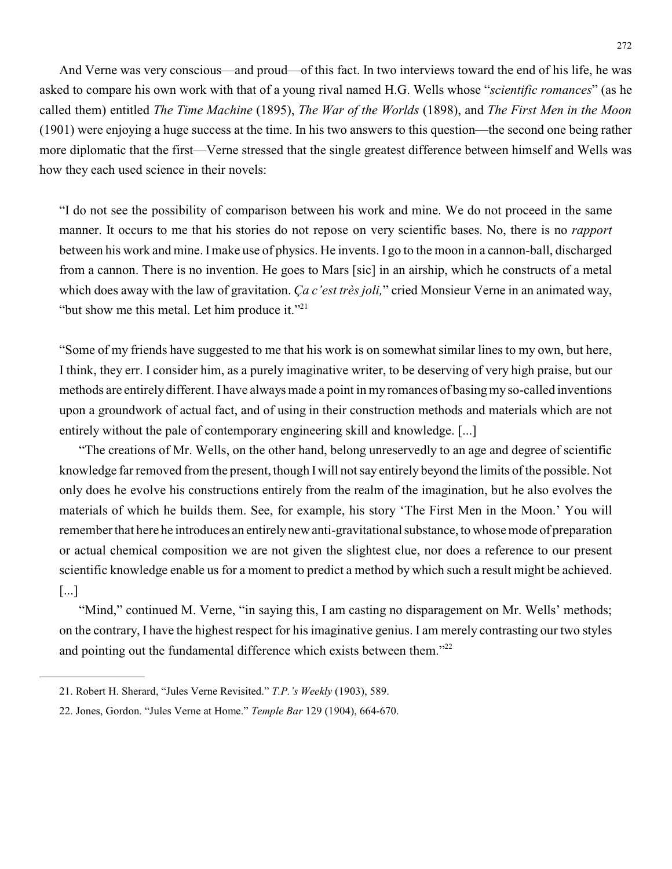And Verne was very conscious—and proud—of this fact. In two interviews toward the end of his life, he was asked to compare his own work with that of a young rival named H.G. Wells whose "*scientific romances*" (as he called them) entitled *The Time Machine* (1895), *The War of the Worlds* (1898), and *The First Men in the Moon* (1901) were enjoying a huge success at the time. In his two answers to this question—the second one being rather more diplomatic that the first—Verne stressed that the single greatest difference between himself and Wells was how they each used science in their novels:

"I do not see the possibility of comparison between his work and mine. We do not proceed in the same manner. It occurs to me that his stories do not repose on very scientific bases. No, there is no *rapport* between his work and mine. Imake use of physics. He invents. I go to the moon in a cannon-ball, discharged from a cannon. There is no invention. He goes to Mars [sic] in an airship, which he constructs of a metal which does away with the law of gravitation. *Ça c'est très joli,*" cried Monsieur Verne in an animated way, "but show me this metal. Let him produce it."<sup>21</sup>

"Some of my friends have suggested to me that his work is on somewhat similar lines to my own, but here, I think, they err. I consider him, as a purely imaginative writer, to be deserving of very high praise, but our methods are entirely different. I have always made a point in my romances of basing my so-called inventions upon a groundwork of actual fact, and of using in their construction methods and materials which are not entirely without the pale of contemporary engineering skill and knowledge. [...]

"The creations of Mr. Wells, on the other hand, belong unreservedly to an age and degree of scientific knowledge far removed from the present, though Iwill not say entirely beyond the limits of the possible. Not only does he evolve his constructions entirely from the realm of the imagination, but he also evolves the materials of which he builds them. See, for example, his story 'The First Men in the Moon.' You will remember that here he introduces an entirelynew anti-gravitational substance, to whose mode of preparation or actual chemical composition we are not given the slightest clue, nor does a reference to our present scientific knowledge enable us for a moment to predict a method by which such a result might be achieved. [...]

"Mind," continued M. Verne, "in saying this, I am casting no disparagement on Mr. Wells' methods; on the contrary, I have the highest respect for his imaginative genius. I am merely contrasting our two styles and pointing out the fundamental difference which exists between them."<sup>22</sup>

<sup>21.</sup> Robert H. Sherard, "Jules Verne Revisited." *T.P.'s Weekly* (1903), 589.

<sup>22.</sup> Jones, Gordon. "Jules Verne at Home." *Temple Bar* 129 (1904), 664-670.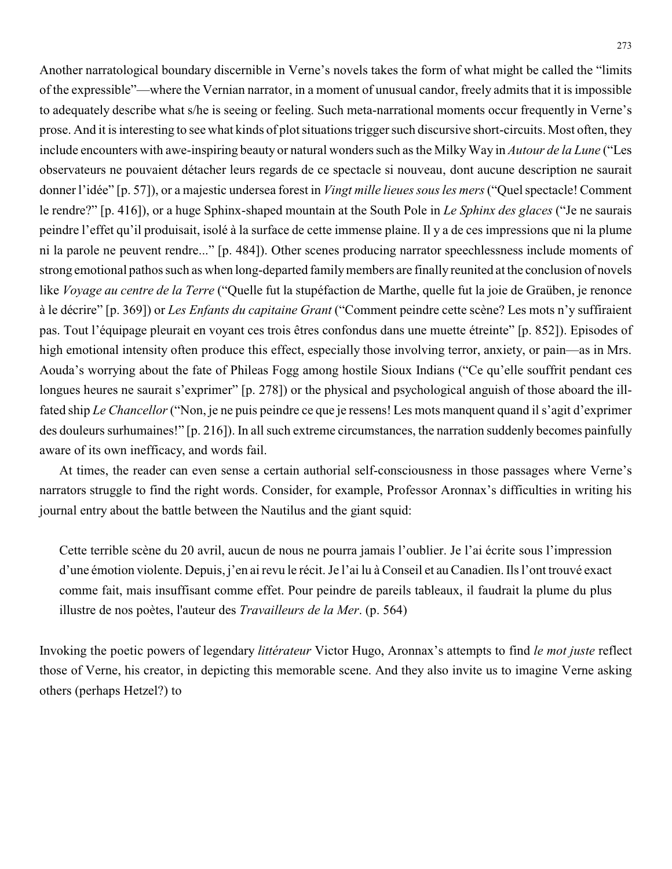Another narratological boundary discernible in Verne's novels takes the form of what might be called the "limits of the expressible"—where the Vernian narrator, in a moment of unusual candor, freely admits that it is impossible to adequately describe what s/he is seeing or feeling. Such meta-narrational moments occur frequently in Verne's prose. And it is interesting to see what kinds of plot situations trigger such discursive short-circuits. Most often, they include encounters with awe-inspiring beauty or natural wonders such as the MilkyWay in *Autour de la Lune* ("Les observateurs ne pouvaient détacher leurs regards de ce spectacle si nouveau, dont aucune description ne saurait donner l'idée" [p. 57]), or a majestic undersea forest in *Vingt mille lieues sous les mers*("Quel spectacle! Comment le rendre?" [p. 416]), or a huge Sphinx-shaped mountain at the South Pole in *Le Sphinx des glaces* ("Je ne saurais peindre l'effet qu'il produisait, isolé à la surface de cette immense plaine. Il y a de ces impressions que ni la plume ni la parole ne peuvent rendre..." [p. 484]). Other scenes producing narrator speechlessness include moments of strong emotional pathos such as when long-departed family members are finally reunited at the conclusion of novels like *Voyage au centre de la Terre* ("Quelle fut la stupéfaction de Marthe, quelle fut la joie de Graüben, je renonce à le décrire" [p. 369]) or *Les Enfants du capitaine Grant* ("Comment peindre cette scène? Les mots n'y suffiraient pas. Tout l'équipage pleurait en voyant ces trois êtres confondus dans une muette étreinte" [p. 852]). Episodes of high emotional intensity often produce this effect, especially those involving terror, anxiety, or pain—as in Mrs. Aouda's worrying about the fate of Phileas Fogg among hostile Sioux Indians ("Ce qu'elle souffrit pendant ces longues heures ne saurait s'exprimer" [p. 278]) or the physical and psychological anguish of those aboard the illfated ship *Le Chancellor*("Non, je ne puis peindre ce que je ressens! Les mots manquent quand il s'agit d'exprimer des douleurs surhumaines!" [p. 216]). In all such extreme circumstances, the narration suddenly becomes painfully aware of its own inefficacy, and words fail.

At times, the reader can even sense a certain authorial self-consciousness in those passages where Verne's narrators struggle to find the right words. Consider, for example, Professor Aronnax's difficulties in writing his journal entry about the battle between the Nautilus and the giant squid:

Cette terrible scène du 20 avril, aucun de nous ne pourra jamais l'oublier. Je l'ai écrite sous l'impression d'une émotion violente. Depuis, j'en ai revu le récit. Je l'ai lu à Conseil et au Canadien. Ils l'ont trouvé exact comme fait, mais insuffisant comme effet. Pour peindre de pareils tableaux, il faudrait la plume du plus illustre de nos poètes, l'auteur des *Travailleurs de la Mer*. (p. 564)

Invoking the poetic powers of legendary *littérateur* Victor Hugo, Aronnax's attempts to find *le mot juste* reflect those of Verne, his creator, in depicting this memorable scene. And they also invite us to imagine Verne asking others (perhaps Hetzel?) to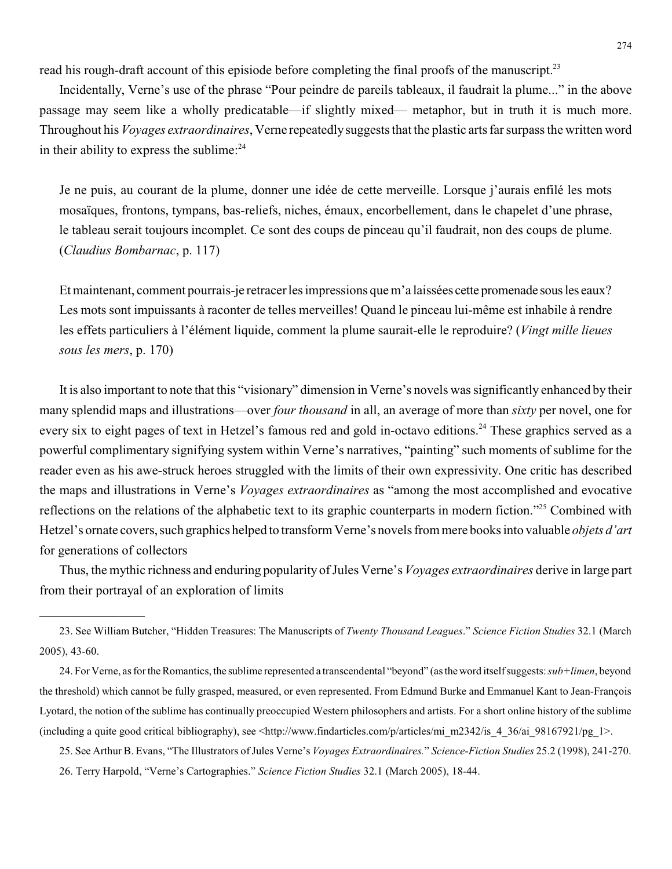read his rough-draft account of this episiode before completing the final proofs of the manuscript.<sup>23</sup>

Incidentally, Verne's use of the phrase "Pour peindre de pareils tableaux, il faudrait la plume..." in the above passage may seem like a wholly predicatable—if slightly mixed— metaphor, but in truth it is much more. Throughout his *Voyages extraordinaires*, Verne repeatedlysuggests that the plastic arts far surpass the written word in their ability to express the sublime: $24$ 

Je ne puis, au courant de la plume, donner une idée de cette merveille. Lorsque j'aurais enfilé les mots mosaïques, frontons, tympans, bas-reliefs, niches, émaux, encorbellement, dans le chapelet d'une phrase, le tableau serait toujours incomplet. Ce sont des coups de pinceau qu'il faudrait, non des coups de plume. (*Claudius Bombarnac*, p. 117)

Et maintenant, comment pourrais-je retracer les impressions que m'a laissées cette promenade sousles eaux? Les mots sont impuissants à raconter de telles merveilles! Quand le pinceau lui-même est inhabile à rendre les effets particuliers à l'élément liquide, comment la plume saurait-elle le reproduire? (*Vingt mille lieues sous les mers*, p. 170)

It is also important to note that this "visionary" dimension in Verne's novels was significantly enhanced by their many splendid maps and illustrations—over *four thousand* in all, an average of more than *sixty* per novel, one for every six to eight pages of text in Hetzel's famous red and gold in-octavo editions.<sup>24</sup> These graphics served as a powerful complimentary signifying system within Verne's narratives, "painting" such moments of sublime for the reader even as his awe-struck heroes struggled with the limits of their own expressivity. One critic has described the maps and illustrations in Verne's *Voyages extraordinaires* as "among the most accomplished and evocative reflections on the relations of the alphabetic text to its graphic counterparts in modern fiction."<sup>25</sup> Combined with Hetzel's ornate covers, such graphics helped to transform Verne's novels from mere books into valuable *objets d'art* for generations of collectors

Thus, the mythic richness and enduring popularity of Jules Verne's *Voyages extraordinaires* derive in large part from their portrayal of an exploration of limits

23. See William Butcher, "Hidden Treasures: The Manuscripts of *Twenty Thousand Leagues*." *Science Fiction Studies* 32.1 (March 2005), 43-60.

 $\mathcal{L}_\text{max}$  , where  $\mathcal{L}_\text{max}$ 

24. For Verne, as for the Romantics, the sublime represented a transcendental "beyond" (as the word itselfsuggests: *sub+limen*, beyond the threshold) which cannot be fully grasped, measured, or even represented. From Edmund Burke and Emmanuel Kant to Jean-François Lyotard, the notion of the sublime has continually preoccupied Western philosophers and artists. For a short online history of the sublime (including a quite good critical bibliography), see <http://www.findarticles.com/p/articles/mi\_m2342/is\_4\_36/ai\_98167921/pg\_1>.

25. See Arthur B. Evans, "The Illustrators ofJules Verne's *Voyages Extraordinaires.*" *Science-Fiction Studies* 25.2 (1998), 241-270. 26. Terry Harpold, "Verne's Cartographies." *Science Fiction Studies* 32.1 (March 2005), 18-44.